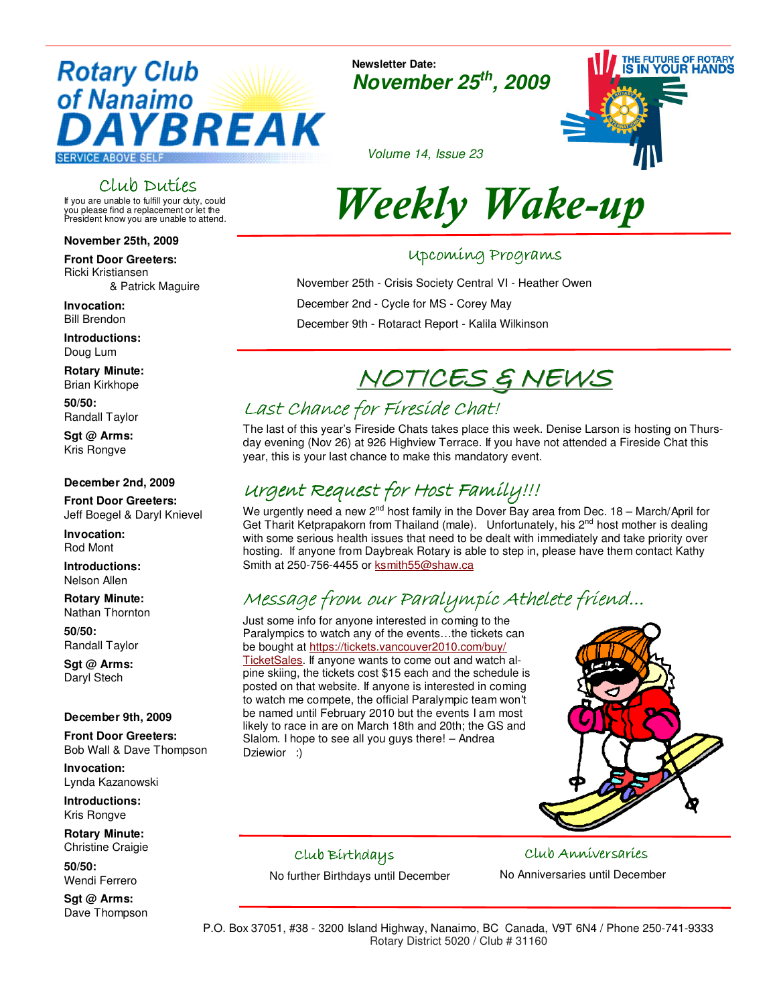## **Rotary Club** of Nanaimo YBREAK

**SERVICE ABOVE SELF** 

## Club Duties

If you are unable to fulfill your duty, could you please find a replacement or let the President know you are unable to attend.

## **November 25th, 2009**

**Front Door Greeters:**  Ricki Kristiansen & Patrick Maguire

**Invocation:**  Bill Brendon

**Introductions:** Doug Lum

**Rotary Minute:** Brian Kirkhope

**50/50:** Randall Taylor

**Sgt @ Arms:** Kris Rongve

## **December 2nd, 2009**

**Front Door Greeters:**  Jeff Boegel & Daryl Knievel

**Invocation:**  Rod Mont

**Introductions:** Nelson Allen

**Rotary Minute:** Nathan Thornton

**50/50:** Randall Taylor

**Sgt @ Arms:**  Daryl Stech

## **December 9th, 2009**

**Front Door Greeters:**  Bob Wall & Dave Thompson

**Invocation:**  Lynda Kazanowski

**Introductions:** Kris Rongve

**Rotary Minute:** Christine Craigie

**50/50:** Wendi Ferrero

**Sgt @ Arms:** Dave Thompson **Newsletter Date: November 25th, 2009**



Volume 14, Issue 23

# Weekly Wake-up

## Upcoming Programs Upcoming Programs

November 25th - Crisis Society Central VI - Heather Owen December 2nd - Cycle for MS - Corey May December 9th - Rotaract Report - Kalila Wilkinson

## NOTICES & NEWS

## Last Chance for Fireside Chat!

The last of this year's Fireside Chats takes place this week. Denise Larson is hosting on Thursday evening (Nov 26) at 926 Highview Terrace. If you have not attended a Fireside Chat this year, this is your last chance to make this mandatory event.

## Urgent Request for Host Family!!!

We urgently need a new 2<sup>nd</sup> host family in the Dover Bay area from Dec. 18 – March/April for Get Tharit Ketprapakorn from Thailand (male). Unfortunately, his 2<sup>nd</sup> host mother is dealing with some serious health issues that need to be dealt with immediately and take priority over hosting. If anyone from Daybreak Rotary is able to step in, please have them contact Kathy Smith at 250-756-4455 or ksmith55@shaw.ca

## Message from our Paralympic Athelete friend...

Just some info for anyone interested in coming to the Paralympics to watch any of the events…the tickets can be bought at https://tickets.vancouver2010.com/buy/ TicketSales. If anyone wants to come out and watch alpine skiing, the tickets cost \$15 each and the schedule is posted on that website. If anyone is interested in coming to watch me compete, the official Paralympic team won't be named until February 2010 but the events I am most likely to race in are on March 18th and 20th; the GS and Slalom. I hope to see all you guys there! – Andrea Dziewior :)



## Club Birthdays

No further Birthdays until December

Club Anniversaries No Anniversaries until December

P.O. Box 37051, #38 - 3200 Island Highway, Nanaimo, BC Canada, V9T 6N4 / Phone 250-741-9333 Rotary District 5020 / Club # 31160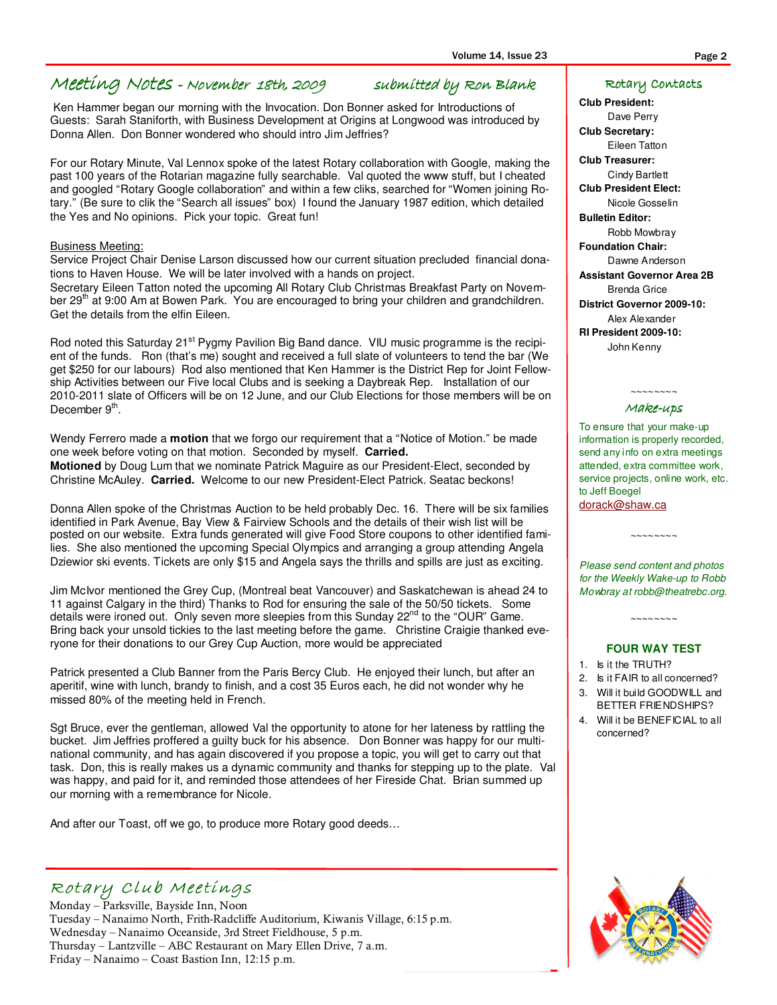## Meeting Notes - November 18th, 2009 submitted by Ron Blank

 Ken Hammer began our morning with the Invocation. Don Bonner asked for Introductions of Guests: Sarah Staniforth, with Business Development at Origins at Longwood was introduced by Donna Allen. Don Bonner wondered who should intro Jim Jeffries?

For our Rotary Minute, Val Lennox spoke of the latest Rotary collaboration with Google, making the past 100 years of the Rotarian magazine fully searchable. Val quoted the www stuff, but I cheated and googled "Rotary Google collaboration" and within a few cliks, searched for "Women joining Rotary." (Be sure to clik the "Search all issues" box) I found the January 1987 edition, which detailed the Yes and No opinions. Pick your topic. Great fun!

#### Business Meeting:

Service Project Chair Denise Larson discussed how our current situation precluded financial donations to Haven House. We will be later involved with a hands on project.

Secretary Eileen Tatton noted the upcoming All Rotary Club Christmas Breakfast Party on November 29<sup>th</sup> at 9:00 Am at Bowen Park. You are encouraged to bring your children and grandchildren. Get the details from the elfin Eileen.

Rod noted this Saturday 21<sup>st</sup> Pygmy Pavilion Big Band dance. VIU music programme is the recipient of the funds. Ron (that's me) sought and received a full slate of volunteers to tend the bar (We get \$250 for our labours) Rod also mentioned that Ken Hammer is the District Rep for Joint Fellowship Activities between our Five local Clubs and is seeking a Daybreak Rep. Installation of our 2010-2011 slate of Officers will be on 12 June, and our Club Elections for those members will be on December 9<sup>th</sup>.

Wendy Ferrero made a **motion** that we forgo our requirement that a "Notice of Motion." be made one week before voting on that motion. Seconded by myself. **Carried.**

**Motioned** by Doug Lum that we nominate Patrick Maguire as our President-Elect, seconded by Christine McAuley. **Carried.** Welcome to our new President-Elect Patrick. Seatac beckons!

Donna Allen spoke of the Christmas Auction to be held probably Dec. 16. There will be six families identified in Park Avenue, Bay View & Fairview Schools and the details of their wish list will be posted on our website. Extra funds generated will give Food Store coupons to other identified families. She also mentioned the upcoming Special Olympics and arranging a group attending Angela Dziewior ski events. Tickets are only \$15 and Angela says the thrills and spills are just as exciting.

Jim McIvor mentioned the Grey Cup, (Montreal beat Vancouver) and Saskatchewan is ahead 24 to 11 against Calgary in the third) Thanks to Rod for ensuring the sale of the 50/50 tickets. Some details were ironed out. Only seven more sleepies from this Sunday  $22^{nd}$  to the "OUR" Game. Bring back your unsold tickies to the last meeting before the game. Christine Craigie thanked everyone for their donations to our Grey Cup Auction, more would be appreciated

Patrick presented a Club Banner from the Paris Bercy Club. He enjoyed their lunch, but after an aperitif, wine with lunch, brandy to finish, and a cost 35 Euros each, he did not wonder why he missed 80% of the meeting held in French.

Sgt Bruce, ever the gentleman, allowed Val the opportunity to atone for her lateness by rattling the bucket. Jim Jeffries proffered a guilty buck for his absence. Don Bonner was happy for our multinational community, and has again discovered if you propose a topic, you will get to carry out that task. Don, this is really makes us a dynamic community and thanks for stepping up to the plate. Val was happy, and paid for it, and reminded those attendees of her Fireside Chat. Brian summed up our morning with a remembrance for Nicole.

And after our Toast, off we go, to produce more Rotary good deeds…

## Rotary Club Meetings

Monday – Parksville, Bayside Inn, Noon Tuesday – Nanaimo North, Frith-Radcliffe Auditorium, Kiwanis Village, 6:15 p.m. Wednesday – Nanaimo Oceanside, 3rd Street Fieldhouse, 5 p.m. Thursday – Lantzville – ABC Restaurant on Mary Ellen Drive, 7 a.m. Friday – Nanaimo – Coast Bastion Inn, 12:15 p.m.

#### Rotary Contacts

**Club President:** 

Dave Perry **Club Secretary:** 

Eileen Tatton

**Club Treasurer:**  Cindy Bartlett **Club President Elect:** 

Nicole Gosselin

**Bulletin Editor:**  Robb Mowbray

**Foundation Chair:** 

Dawne Anderson **Assistant Governor Area 2B**  Brenda Grice **District Governor 2009-10:**  Alex Alexander **RI President 2009-10:**  John Kenny

#### $\sim\sim\sim\sim\sim\sim\sim$ Make-ups

To ensure that your make-up information is properly recorded, send any info on extra meetings attended, extra committee work, service projects, online work, etc. to Jeff Boegel dorack@shaw.ca

Please send content and photos for the Weekly Wake-up to Robb Mowbray at robb@theatrebc.org.

~~~~~~~~~~

#### **FOUR WAY TEST**

 $\sim\sim\sim\sim\sim\sim\sim$ 

- 1. Is it the TRUTH?
- 2. Is it FAIR to all concerned?

3. Will it build GOODWILL and BETTER FRIENDSHIPS?

4. Will it be BENEFICIAL to all concerned?

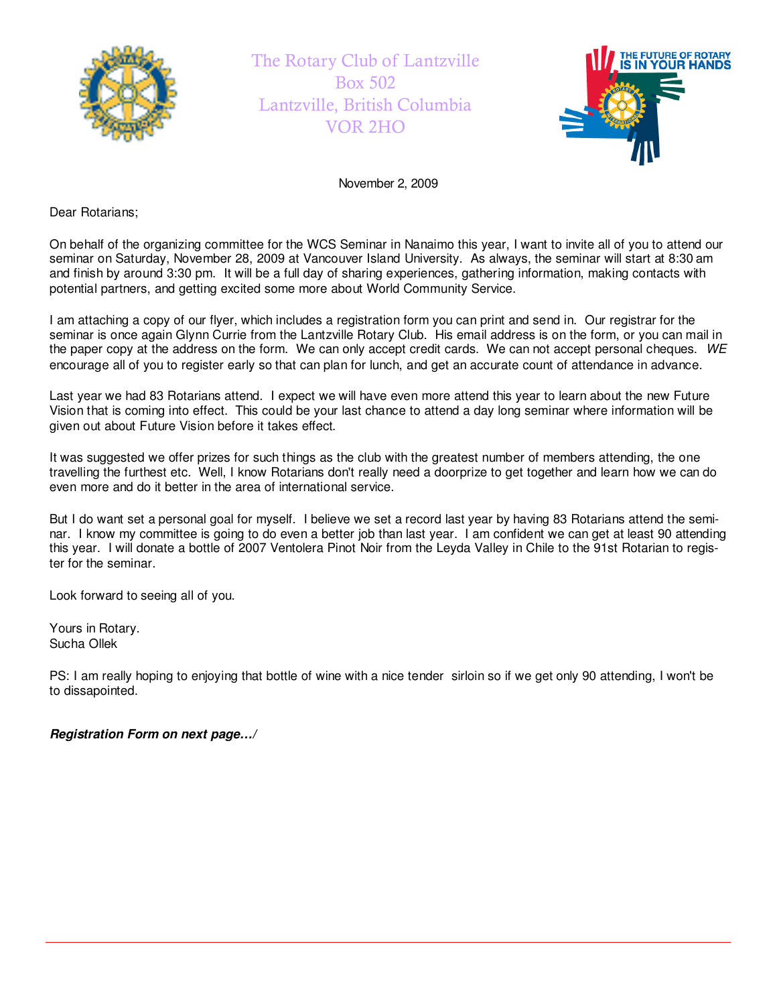

The Rotary Club of Lantzville Box 502 Lantzville, British Columbia VOR 2HO



November 2, 2009

Dear Rotarians;

On behalf of the organizing committee for the WCS Seminar in Nanaimo this year, I want to invite all of you to attend our seminar on Saturday, November 28, 2009 at Vancouver Island University. As always, the seminar will start at 8:30 am and finish by around 3:30 pm. It will be a full day of sharing experiences, gathering information, making contacts with potential partners, and getting excited some more about World Community Service.

I am attaching a copy of our flyer, which includes a registration form you can print and send in. Our registrar for the seminar is once again Glynn Currie from the Lantzville Rotary Club. His email address is on the form, or you can mail in the paper copy at the address on the form. We can only accept credit cards. We can not accept personal cheques. WE encourage all of you to register early so that can plan for lunch, and get an accurate count of attendance in advance.

Last year we had 83 Rotarians attend. I expect we will have even more attend this year to learn about the new Future Vision that is coming into effect. This could be your last chance to attend a day long seminar where information will be given out about Future Vision before it takes effect.

It was suggested we offer prizes for such things as the club with the greatest number of members attending, the one travelling the furthest etc. Well, I know Rotarians don't really need a doorprize to get together and learn how we can do even more and do it better in the area of international service.

But I do want set a personal goal for myself. I believe we set a record last year by having 83 Rotarians attend the seminar. I know my committee is going to do even a better job than last year. I am confident we can get at least 90 attending this year. I will donate a bottle of 2007 Ventolera Pinot Noir from the Leyda Valley in Chile to the 91st Rotarian to register for the seminar.

Look forward to seeing all of you.

Yours in Rotary. Sucha Ollek

PS: I am really hoping to enjoying that bottle of wine with a nice tender sirloin so if we get only 90 attending, I won't be to dissapointed.

**Registration Form on next page…/**